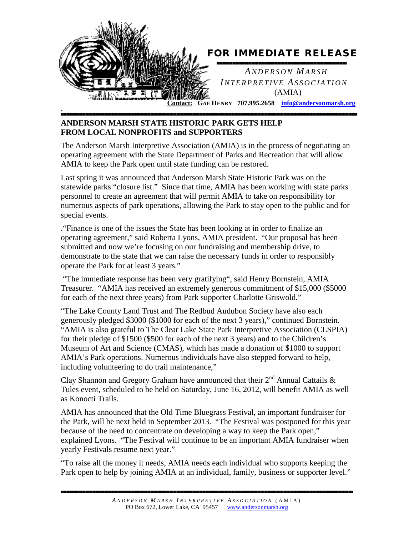

## **ANDERSON MARSH STATE HISTORIC PARK GETS HELP FROM LOCAL NONPROFITS and SUPPORTERS**

The Anderson Marsh Interpretive Association (AMIA) is in the process of negotiating an operating agreement with the State Department of Parks and Recreation that will allow AMIA to keep the Park open until state funding can be restored.

*█████████████████████████████████████████████████████████████████████████████████████████████████████████████████████████████████████████████████████████████████████████████████████████████████████████████*

Last spring it was announced that Anderson Marsh State Historic Park was on the statewide parks "closure list." Since that time, AMIA has been working with state parks personnel to create an agreement that will permit AMIA to take on responsibility for numerous aspects of park operations, allowing the Park to stay open to the public and for special events.

."Finance is one of the issues the State has been looking at in order to finalize an operating agreement," said Roberta Lyons, AMIA president. "Our proposal has been submitted and now we're focusing on our fundraising and membership drive, to demonstrate to the state that we can raise the necessary funds in order to responsibly operate the Park for at least 3 years."

"The immediate response has been very gratifying", said Henry Bornstein, AMIA Treasurer. "AMIA has received an extremely generous commitment of \$15,000 (\$5000 for each of the next three years) from Park supporter Charlotte Griswold."

"The Lake County Land Trust and The Redbud Audubon Society have also each generously pledged \$3000 (\$1000 for each of the next 3 years)," continued Bornstein. "AMIA is also grateful to The Clear Lake State Park Interpretive Association (CLSPIA) for their pledge of \$1500 (\$500 for each of the next 3 years) and to the Children's Museum of Art and Science (CMAS), which has made a donation of \$1000 to support AMIA's Park operations. Numerous individuals have also stepped forward to help, including volunteering to do trail maintenance,"

Clay Shannon and Gregory Graham have announced that their  $2^{nd}$  Annual Cattails & Tules event, scheduled to be held on Saturday, June 16, 2012, will benefit AMIA as well as Konocti Trails.

AMIA has announced that the Old Time Bluegrass Festival, an important fundraiser for the Park, will be next held in September 2013. "The Festival was postponed for this year because of the need to concentrate on developing a way to keep the Park open," explained Lyons. "The Festival will continue to be an important AMIA fundraiser when yearly Festivals resume next year."

"To raise all the money it needs, AMIA needs each individual who supports keeping the Park open to help by joining AMIA at an individual, family, business or supporter level."